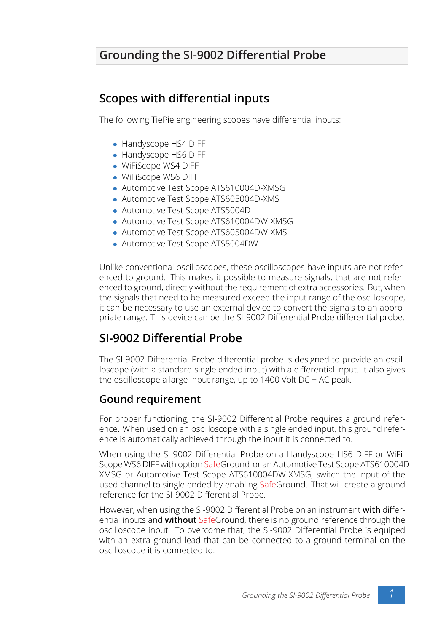# **Grounding the SI-9002 Differential Probe**

## **Scopes with differential inputs**

The following TiePie engineering scopes have differential inputs:

- *•* Handyscope HS4 DIFF
- *•* Handyscope HS6 DIFF
- *•* WiFiScope WS4 DIFF
- *•* WiFiScope WS6 DIFF
- *•* Automotive Test Scope ATS610004D-XMSG
- *•* Automotive Test Scope ATS605004D-XMS
- *•* Automotive Test Scope ATS5004D
- *•* Automotive Test Scope ATS610004DW-XMSG
- *•* Automotive Test Scope ATS605004DW-XMS
- *•* Automotive Test Scope ATS5004DW

Unlike conventional oscilloscopes, these oscilloscopes have inputs are not referenced to ground. This makes it possible to measure signals, that are not referenced to ground, directly without the requirement of extra accessories. But, when the signals that need to be measured exceed the input range of the oscilloscope, it can be necessary to use an external device to convert the signals to an appropriate range. This device can be the SI-9002 Differential Probe differential probe.

## **SI-9002 Differential Probe**

The SI-9002 Differential Probe differential probe is designed to provide an oscilloscope (with a standard single ended input) with a differential input. It also gives the oscilloscope a large input range, up to 1400 Volt DC + AC peak.

#### **Gound requirement**

For proper functioning, the SI-9002 Differential Probe requires a ground reference. When used on an oscilloscope with a single ended input, this ground reference is automatically achieved through the input it is connected to.

When using the SI-9002 Differential Probe on a Handyscope HS6 DIFF or WiFi-Scope WS6 DIFF with option SafeGround or an Automotive Test Scope ATS610004D-XMSG or Automotive Test Scope ATS610004DW-XMSG, switch the input of the used channel to single ended by enabling SafeGround. That will create a ground reference for the SI-9002 Differential Probe.

However, when using the SI-9002 Differential Probe on an instrument **with** differential inputs and **without** SafeGround, there is no ground reference through the oscilloscope input. To overcome that, the SI-9002 Differential Probe is equiped with an extra ground lead that can be connected to a ground terminal on the oscilloscope it is connected to.